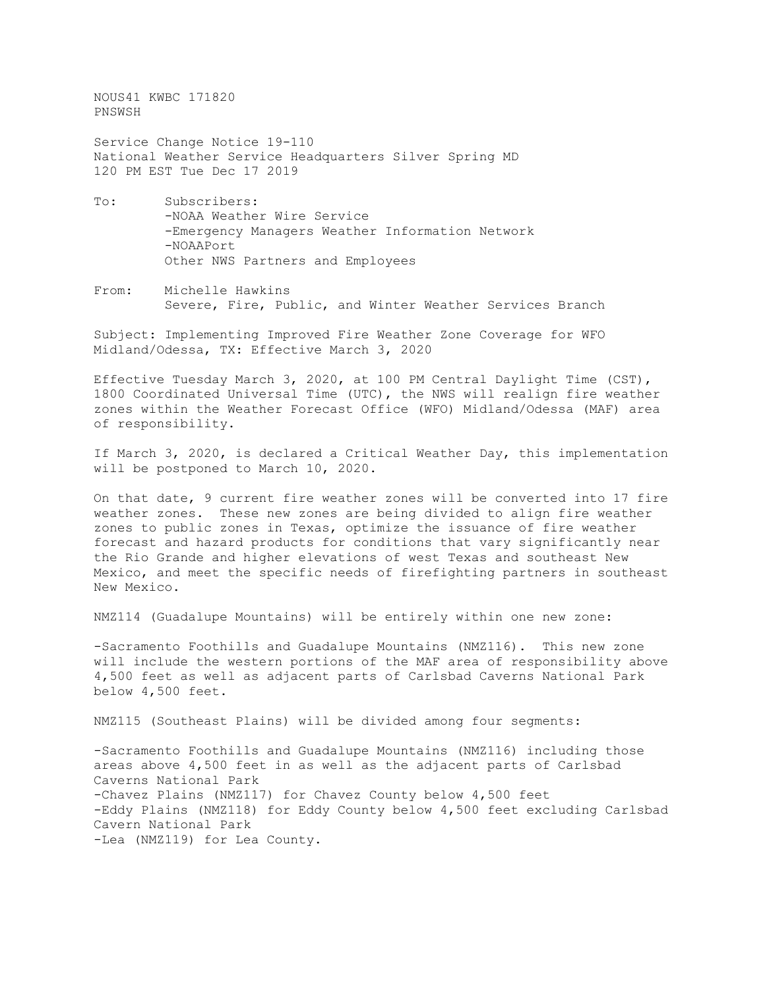NOUS41 KWBC 171820 PNSWSH

Service Change Notice 19-110 National Weather Service Headquarters Silver Spring MD 120 PM EST Tue Dec 17 2019

- To: Subscribers: -NOAA Weather Wire Service -Emergency Managers Weather Information Network -NOAAPort Other NWS Partners and Employees
- From: Michelle Hawkins Severe, Fire, Public, and Winter Weather Services Branch

Subject: Implementing Improved Fire Weather Zone Coverage for WFO Midland/Odessa, TX: Effective March 3, 2020

Effective Tuesday March 3, 2020, at 100 PM Central Daylight Time (CST), 1800 Coordinated Universal Time (UTC), the NWS will realign fire weather zones within the Weather Forecast Office (WFO) Midland/Odessa (MAF) area of responsibility.

If March 3, 2020, is declared a Critical Weather Day, this implementation will be postponed to March 10, 2020.

On that date, 9 current fire weather zones will be converted into 17 fire weather zones. These new zones are being divided to align fire weather zones to public zones in Texas, optimize the issuance of fire weather forecast and hazard products for conditions that vary significantly near the Rio Grande and higher elevations of west Texas and southeast New Mexico, and meet the specific needs of firefighting partners in southeast New Mexico.

NMZ114 (Guadalupe Mountains) will be entirely within one new zone:

-Sacramento Foothills and Guadalupe Mountains (NMZ116). This new zone will include the western portions of the MAF area of responsibility above 4,500 feet as well as adjacent parts of Carlsbad Caverns National Park below 4,500 feet.

NMZ115 (Southeast Plains) will be divided among four segments:

-Sacramento Foothills and Guadalupe Mountains (NMZ116) including those areas above 4,500 feet in as well as the adjacent parts of Carlsbad Caverns National Park -Chavez Plains (NMZ117) for Chavez County below 4,500 feet -Eddy Plains (NMZ118) for Eddy County below 4,500 feet excluding Carlsbad Cavern National Park -Lea (NMZ119) for Lea County.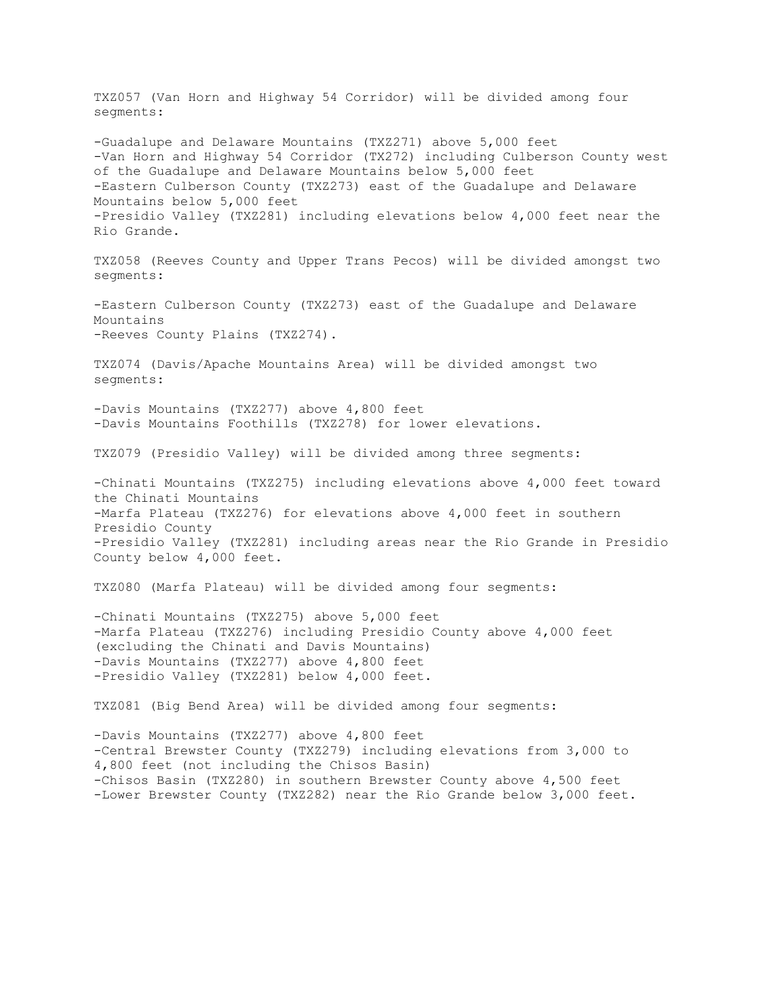TXZ057 (Van Horn and Highway 54 Corridor) will be divided among four segments: -Guadalupe and Delaware Mountains (TXZ271) above 5,000 feet -Van Horn and Highway 54 Corridor (TX272) including Culberson County west of the Guadalupe and Delaware Mountains below 5,000 feet -Eastern Culberson County (TXZ273) east of the Guadalupe and Delaware Mountains below 5,000 feet -Presidio Valley (TXZ281) including elevations below 4,000 feet near the Rio Grande. TXZ058 (Reeves County and Upper Trans Pecos) will be divided amongst two segments: -Eastern Culberson County (TXZ273) east of the Guadalupe and Delaware Mountains -Reeves County Plains (TXZ274). TXZ074 (Davis/Apache Mountains Area) will be divided amongst two segments: -Davis Mountains (TXZ277) above 4,800 feet -Davis Mountains Foothills (TXZ278) for lower elevations. TXZ079 (Presidio Valley) will be divided among three segments: -Chinati Mountains (TXZ275) including elevations above 4,000 feet toward the Chinati Mountains -Marfa Plateau (TXZ276) for elevations above 4,000 feet in southern Presidio County -Presidio Valley (TXZ281) including areas near the Rio Grande in Presidio County below 4,000 feet. TXZ080 (Marfa Plateau) will be divided among four segments: -Chinati Mountains (TXZ275) above 5,000 feet -Marfa Plateau (TXZ276) including Presidio County above 4,000 feet (excluding the Chinati and Davis Mountains) -Davis Mountains (TXZ277) above 4,800 feet -Presidio Valley (TXZ281) below 4,000 feet. TXZ081 (Big Bend Area) will be divided among four segments: -Davis Mountains (TXZ277) above 4,800 feet -Central Brewster County (TXZ279) including elevations from 3,000 to 4,800 feet (not including the Chisos Basin) -Chisos Basin (TXZ280) in southern Brewster County above 4,500 feet -Lower Brewster County (TXZ282) near the Rio Grande below 3,000 feet.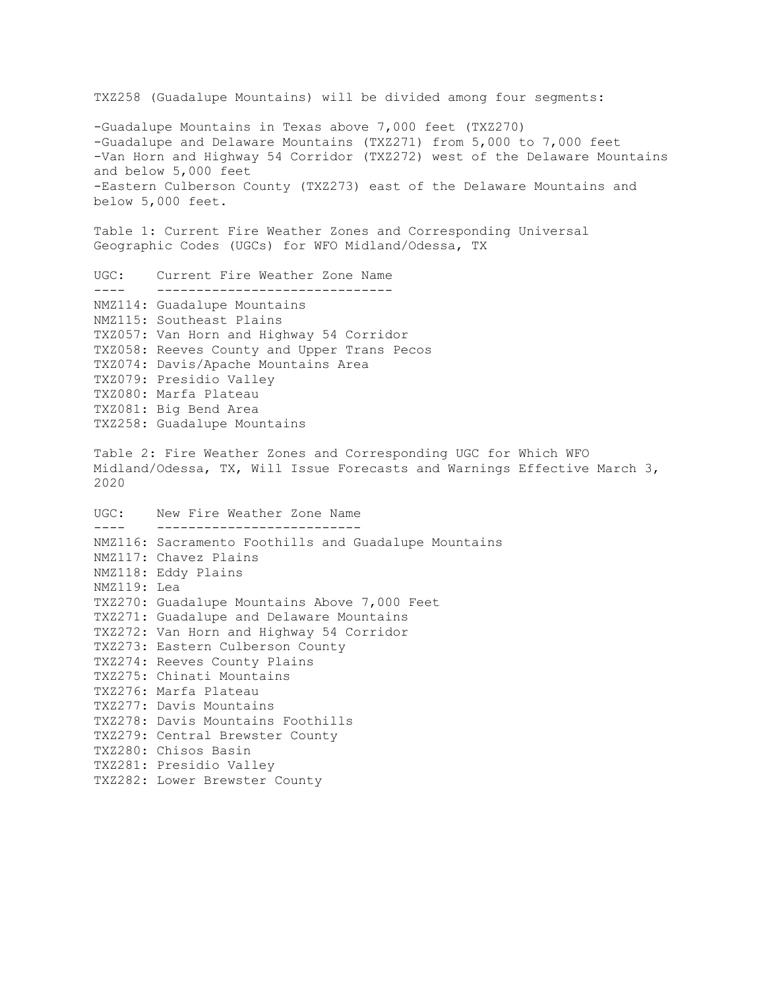TXZ258 (Guadalupe Mountains) will be divided among four segments: -Guadalupe Mountains in Texas above 7,000 feet (TXZ270) -Guadalupe and Delaware Mountains (TXZ271) from 5,000 to 7,000 feet -Van Horn and Highway 54 Corridor (TXZ272) west of the Delaware Mountains and below 5,000 feet -Eastern Culberson County (TXZ273) east of the Delaware Mountains and below 5,000 feet. Table 1: Current Fire Weather Zones and Corresponding Universal Geographic Codes (UGCs) for WFO Midland/Odessa, TX UGC: Current Fire Weather Zone Name ---- ------------------------------ NMZ114: Guadalupe Mountains NMZ115: Southeast Plains TXZ057: Van Horn and Highway 54 Corridor TXZ058: Reeves County and Upper Trans Pecos TXZ074: Davis/Apache Mountains Area TXZ079: Presidio Valley TXZ080: Marfa Plateau TXZ081: Big Bend Area TXZ258: Guadalupe Mountains Table 2: Fire Weather Zones and Corresponding UGC for Which WFO Midland/Odessa, TX, Will Issue Forecasts and Warnings Effective March 3, 2020 UGC: New Fire Weather Zone Name ---- -------------------------- NMZ116: Sacramento Foothills and Guadalupe Mountains NMZ117: Chavez Plains NMZ118: Eddy Plains NMZ119: Lea TXZ270: Guadalupe Mountains Above 7,000 Feet TXZ271: Guadalupe and Delaware Mountains TXZ272: Van Horn and Highway 54 Corridor TXZ273: Eastern Culberson County TXZ274: Reeves County Plains TXZ275: Chinati Mountains TXZ276: Marfa Plateau TXZ277: Davis Mountains TXZ278: Davis Mountains Foothills TXZ279: Central Brewster County TXZ280: Chisos Basin TXZ281: Presidio Valley TXZ282: Lower Brewster County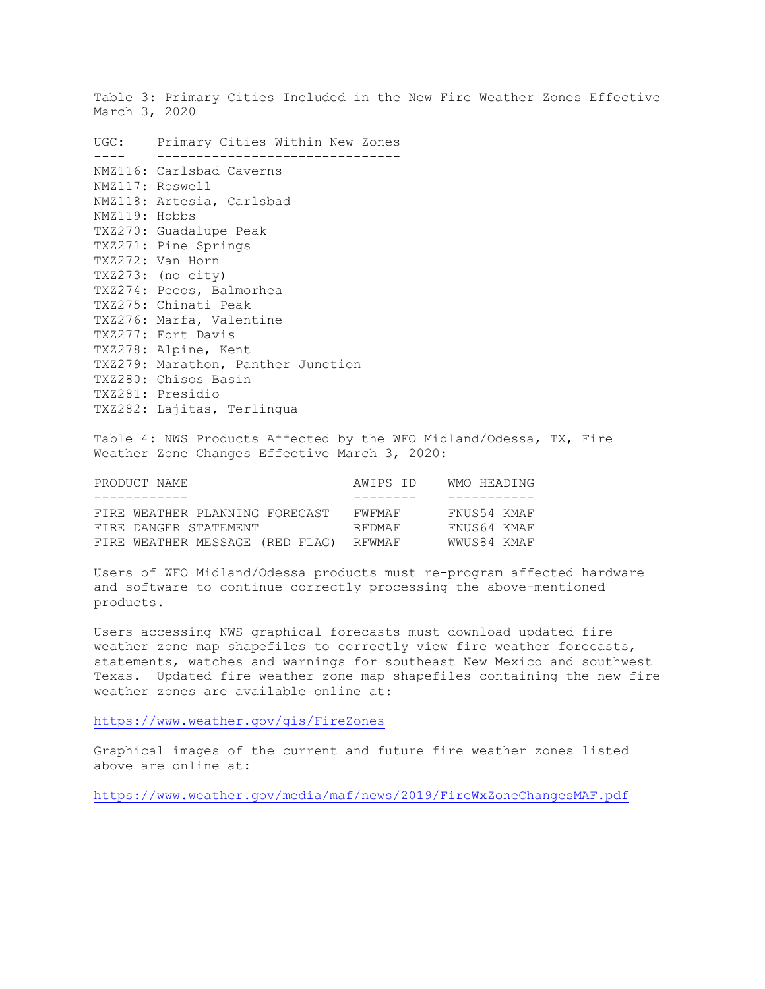Table 3: Primary Cities Included in the New Fire Weather Zones Effective March 3, 2020

UGC: Primary Cities Within New Zones ---- ------------------------------- NMZ116: Carlsbad Caverns NMZ117: Roswell NMZ118: Artesia, Carlsbad NMZ119: Hobbs TXZ270: Guadalupe Peak TXZ271: Pine Springs TXZ272: Van Horn TXZ273: (no city) TXZ274: Pecos, Balmorhea TXZ275: Chinati Peak TXZ276: Marfa, Valentine TXZ277: Fort Davis TXZ278: Alpine, Kent TXZ279: Marathon, Panther Junction TXZ280: Chisos Basin TXZ281: Presidio TXZ282: Lajitas, Terlingua

Table 4: NWS Products Affected by the WFO Midland/Odessa, TX, Fire Weather Zone Changes Effective March 3, 2020:

| PRODUCT NAME                    | AWIPS ID | WMO HEADING |
|---------------------------------|----------|-------------|
| ------------                    |          | ----------- |
| FIRE WEATHER PLANNING FORECAST  | FWFMAF   | FNUS54 KMAF |
| FIRE DANGER STATEMENT           | RFDMAF   | FNUS64 KMAF |
| FIRE WEATHER MESSAGE (RED FLAG) | RFWMAF   | WWUS84 KMAF |

Users of WFO Midland/Odessa products must re-program affected hardware and software to continue correctly processing the above-mentioned products.

Users accessing NWS graphical forecasts must download updated fire weather zone map shapefiles to correctly view fire weather forecasts, statements, watches and warnings for southeast New Mexico and southwest Texas. Updated fire weather zone map shapefiles containing the new fire weather zones are available online at:

<https://www.weather.gov/gis/FireZones>

Graphical images of the current and future fire weather zones listed above are online at:

<https://www.weather.gov/media/maf/news/2019/FireWxZoneChangesMAF.pdf>